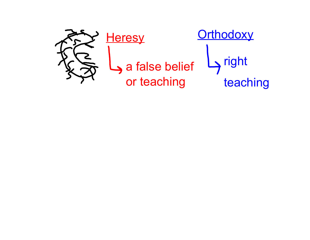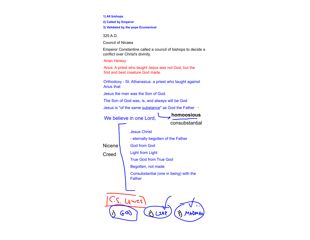**1) All bishops** 

**2) Called by Emperor** 

**3) Validated by the pope Ecumenical**

325 A.D.

Council of Nicaea

Emperor Constantine called a council of bishops to decide a conflict over Christ's divinity.

Arian Heresy

Arius: A priest who taught Jesus was not God, but the first and best creature God made.

Orthodoxy - St. Athanasius: a priest who taught against Arius that:

Jesus the man was the Son of God.

The Son of God was, is, and always will be God

Jesus is "of the same substance" as God the Father .

We believe in one Lord, **homoosious** 

consubstantial

Jesus Christ

- eternally begotten of the Father

Nicene

Creed

God from God Light from Light True God from True God Begotten, not made Consubstantial (one in being) with the Father

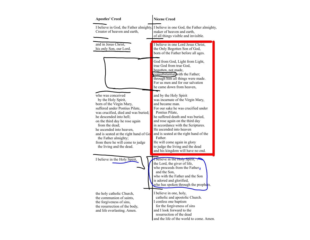| <b>Apostles' Creed</b>                                                                                                                                                                                                                                                                                                                                                                    | <b>Nicene Creed</b>                                                                                                                                                                                                                                                                                                                                                                                                                            |
|-------------------------------------------------------------------------------------------------------------------------------------------------------------------------------------------------------------------------------------------------------------------------------------------------------------------------------------------------------------------------------------------|------------------------------------------------------------------------------------------------------------------------------------------------------------------------------------------------------------------------------------------------------------------------------------------------------------------------------------------------------------------------------------------------------------------------------------------------|
| Creator of heaven and earth,                                                                                                                                                                                                                                                                                                                                                              | I believe in God, the Father almighty, I believe in one God, the Father almighty,<br>maker of heaven and earth,<br>of all things visible and invisible.                                                                                                                                                                                                                                                                                        |
| and in Jesus Christ,<br>his only Son, our Lord,                                                                                                                                                                                                                                                                                                                                           | I believe in one Lord Jesus Christ,<br>the Only Begotten Son of God,<br>born of the Father before all ages.                                                                                                                                                                                                                                                                                                                                    |
|                                                                                                                                                                                                                                                                                                                                                                                           | God from God, Light from Light,<br>true God from true God,<br>begotten, not made,<br>consubstantial with the Father;<br>through him all things were made.<br>For us men and for our salvation<br>he came down from heaven,                                                                                                                                                                                                                     |
| who was conceived<br>by the Holy Spirit,<br>born of the Virgin Mary,<br>suffered under Pontius Pilate,<br>was crucified, died and was buried;<br>he descended into hell;<br>on the third day he rose again<br>from the dead;<br>he ascended into heaven,<br>and is seated at the right hand of Go<br>the Father almighty;<br>from there he will come to judge<br>the living and the dead. | and by the Holy Spirit<br>was incarnate of the Virgin Mary,<br>and became man.<br>For our sake he was crucified under<br>Pontius Pilate,<br>he suffered death and was buried,<br>and rose again on the third day<br>in accordance with the Scriptures.<br>He ascended into heaven<br>and is seated at the right hand of the<br>Father.<br>He will come again in glory<br>to judge the living and the dead<br>and his kingdom will have no end. |
| I believe in the Holy Spirit,                                                                                                                                                                                                                                                                                                                                                             | I believe in the Holy Spirit,<br>the Lord, the giver of life,<br>who proceeds from the Father<br>and the Son,<br>who with the Father and the Son<br>is adored and glorified,<br>who has spoken through the prophets.                                                                                                                                                                                                                           |
| the holy catholic Church,<br>the communion of saints,<br>the forgiveness of sins,<br>the resurrection of the body,<br>and life everlasting. Amen.                                                                                                                                                                                                                                         | I believe in one, holy,<br>catholic and apostolic Church.<br>I confess one baptism<br>for the forgiveness of sins<br>and I look forward to the<br>resurrection of the dead<br>and the life of the world to come. Amen.                                                                                                                                                                                                                         |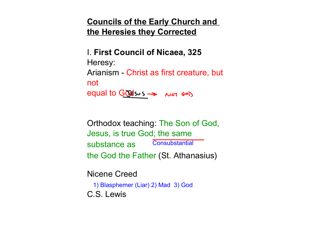# **Councils of the Early Church and the Heresies they Corrected**

I. **First Council of Nicaea, 325** Heresy: Arianism - Christ as first creature, but not equal to Godsus >> Not GOD

Orthodox teaching: The Son of God, Jesus, is true God; the same substance as the God the Father (St. Athanasius) **Consubstantial** 

Nicene Creed C.S. Lewis 1) Blasphemer (Liar) 2) Mad 3) God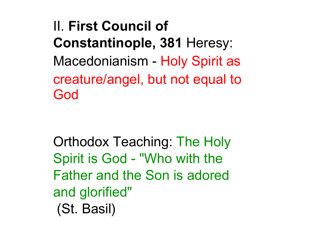II. **First Council of Constantinople, 381** Heresy: Macedonianism - Holy Spirit as creature/angel, but not equal to God

Orthodox Teaching: The Holy Spirit is God - "Who with the Father and the Son is adored and glorified" (St. Basil)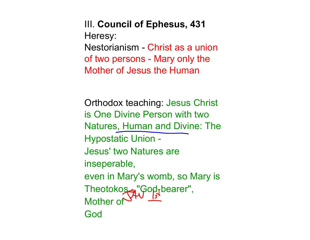III. **Council of Ephesus, 431** Heresy: Nestorianism - Christ as a union of two persons - Mary only the Mother of Jesus the Human

Orthodox teaching: Jesus Christ is One Divine Person with two Natures, Human and Divine: The Hypostatic Union - Jesus' two Natures are inseperable, even in Mary's womb, so Mary is Theotokos - "God-bearer", Mother of God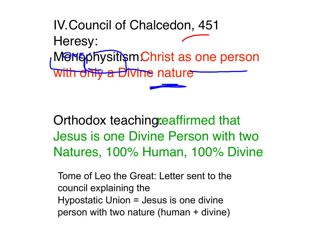IV. Council of Chalcedon, 451 Heresy: MOMO physitism: Christ as one person th only a Divine nature

Orthodox teaching: eaffirmed that Jesus is one Divine Person with two Natures, 100% Human, 100% Divine

Tome of Leo the Great: Letter sent to the council explaining the Hypostatic Union = Jesus is one divine person with two nature (human + divine)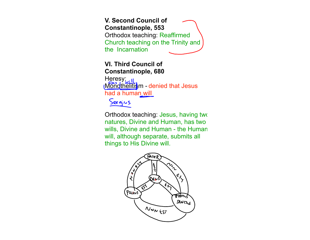**V. Second Council of Constantinople, 553** Orthodox teaching: Reaffirmed Church teaching on the Trinity and the Incarnation

## **VI. Third Council of Constantinople, 680**

Heresy: Mondthelitism - denied that Jesus had a human will



Orthodox teaching: Jesus, having two natures, Divine and Human, has two wills, Divine and Human - the Human will, although separate, submits all things to His Divine will.

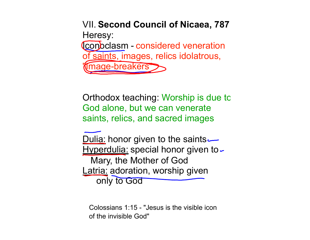VII. **Second Council of Nicaea, 787** Heresy: **Iconoclasm - considered veneration** of saints, images, relics idolatrous, Image-breakers

Orthodox teaching: Worship is due to God alone, but we can venerate saints, relics, and sacred images

Dulia: honor given to the saints Hyperdulia: special honor given to -Mary, the Mother of God Latria: adoration, worship given only to God

Colossians 1:15 - "Jesus is the visible icon of the invisible God"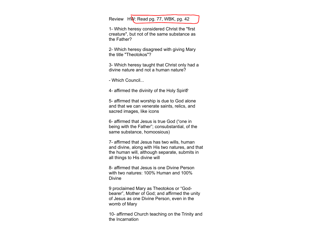Review HW: Read pg. 77, WBK, pg. 42

1- Which heresy considered Christ the "first creature", but not of the same substance as the Father?

2- Which heresy disagreed with giving Mary the title "Theotokos"?

3- Which heresy taught that Christ only had a divine nature and not a human nature?

- Which Council...

4- affirmed the divinity of the Holy Spirit?

5- affirmed that worship is due to God alone and that we can venerate saints, relics, and sacred images, like icons

6- affirmed that Jesus is true God ("one in being with the Father"; consubstantial, of the same substance, homoosious)

7- affirmed that Jesus has two wills, human and divine, along with His two natures, and that the human will, although separate, submits in all things to His divine will

8- affirmed that Jesus is one Divine Person with two natures: 100% Human and 100% Divine

9 proclaimed Mary as Theotokos or "Godbearer", Mother of God; and affirmed the unity of Jesus as one Divine Person, even in the womb of Mary

10- affirmed Church teaching on the Trinity and the Incarnation